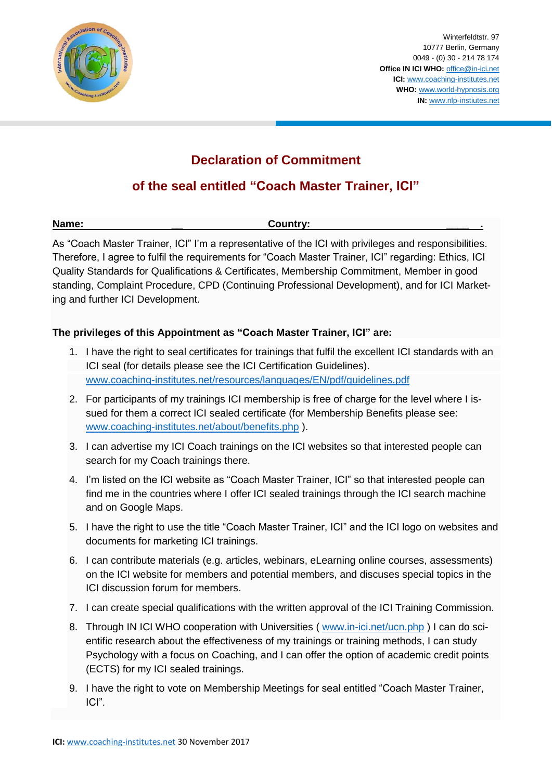

Winterfeldtstr. 97 10777 Berlin, Germany 0049 - (0) 30 - 214 78 174 **Office IN ICI WHO:** [office@in-ici.net](mailto:office@in-ici.net) **ICI:** [www.coaching-institutes.net](http://www.coaching-institutes.net/) **WHO:** [www.world-hypnosis.org](http://www.world-hypnosis.org/) **IN:** [www.nlp-instiutes.net](http://www.nlp-instiutes.net/)

## **Declaration of Commitment**

## **of the seal entitled "Coach Master Trainer, ICI"**

| Name: | Country: |  |
|-------|----------|--|
|       |          |  |

As "Coach Master Trainer, ICI" I'm a representative of the ICI with privileges and responsibilities. Therefore, I agree to fulfil the requirements for "Coach Master Trainer, ICI" regarding: Ethics, ICI Quality Standards for Qualifications & Certificates, Membership Commitment, Member in good standing, Complaint Procedure, CPD (Continuing Professional Development), and for ICI Marketing and further ICI Development.

## **The privileges of this Appointment as "Coach Master Trainer, ICI" are:**

- 1. I have the right to seal certificates for trainings that fulfil the excellent ICI standards with an ICI seal (for details please see the ICI Certification Guidelines). [www.coaching-institutes.net/resources/languages/EN/pdf/guidelines.pdf](http://www.coaching-institutes.net/resources/languages/EN/pdf/guidelines.pdf)
- 2. For participants of my trainings ICI membership is free of charge for the level where I issued for them a correct ICI sealed certificate (for Membership Benefits please see: [www.coaching-institutes.net/about/benefits.php](http://www.coaching-institutes.net/about/benefits.php) ).
- 3. I can advertise my ICI Coach trainings on the ICI websites so that interested people can search for my Coach trainings there.
- 4. I'm listed on the ICI website as "Coach Master Trainer, ICI" so that interested people can find me in the countries where I offer ICI sealed trainings through the ICI search machine and on Google Maps.
- 5. I have the right to use the title "Coach Master Trainer, ICI" and the ICI logo on websites and documents for marketing ICI trainings.
- 6. I can contribute materials (e.g. articles, webinars, eLearning online courses, assessments) on the ICI website for members and potential members, and discuses special topics in the ICI discussion forum for members.
- 7. I can create special qualifications with the written approval of the ICI Training Commission.
- 8. Through IN ICI WHO cooperation with Universities ([www.in-ici.net/ucn.php](http://www.in-ici.net/ucn.php)) I can do scientific research about the effectiveness of my trainings or training methods, I can study Psychology with a focus on Coaching, and I can offer the option of academic credit points (ECTS) for my ICI sealed trainings.
- 9. I have the right to vote on Membership Meetings for seal entitled "Coach Master Trainer, ICI".